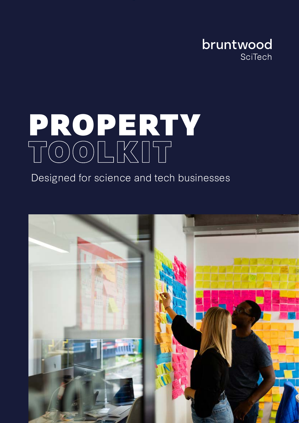

# PROPERTY TOOLKIT

Designed for science and tech businesses

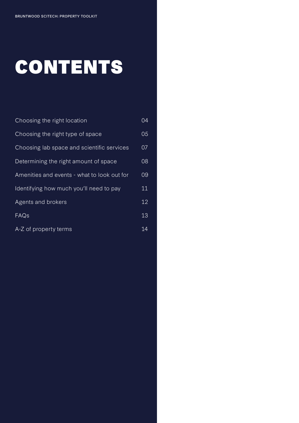# CONTENTS

| Choosing the right location                 | 04              |
|---------------------------------------------|-----------------|
| Choosing the right type of space            | 05              |
| Choosing lab space and scientific services  | 07              |
| Determining the right amount of space       | 08              |
| Amenities and events - what to look out for | 09              |
| Identifying how much you'll need to pay     | 11              |
| Agents and brokers                          | 12              |
| FAQs                                        | 13              |
| A-Z of property terms                       | $\overline{1}4$ |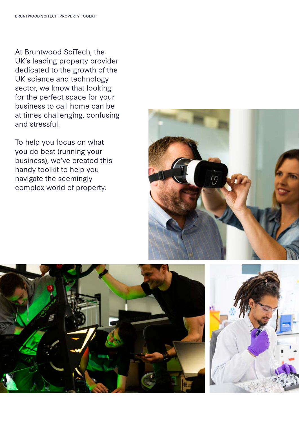At Bruntwood SciTech, the UK's leading property provider dedicated to the growth of the UK science and technology sector, we know that looking for the perfect space for your business to call home can be at times challenging, confusing and stressful.

To help you focus on what you do best (running your business), we've created this handy toolkit to help you navigate the seemingly complex world of property.

![](_page_2_Picture_3.jpeg)

![](_page_2_Picture_4.jpeg)

![](_page_2_Picture_5.jpeg)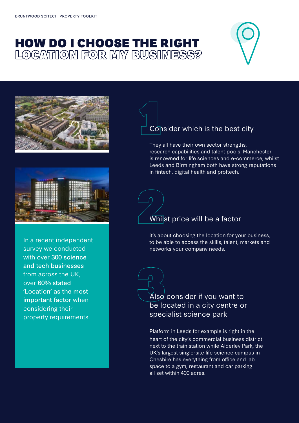# HOW DO I CHOOSE THE RIGHT LOCATION FOR MY BUSINESS?

![](_page_3_Picture_2.jpeg)

![](_page_3_Picture_3.jpeg)

![](_page_3_Picture_4.jpeg)

In a recent independent survey we conducted with over 300 science and tech businesses from across the UK, over 60% stated 'Location' as the most important factor when considering their property requirements.

# Consider which is the best city 1

They all have their own sector strengths, research capabilities and talent pools. Manchester is renowned for life sciences and e-commerce, whilst Leeds and Birmingham both have strong reputations in fintech, digital health and proftech.

# $\begin{pmatrix} 1 \\ 1 \\ 2 \end{pmatrix}$ Whilst price will be a factor

it's about choosing the location for your business, to be able to access the skills, talent, markets and networks your company needs.

### $\overline{\mathrm{Also}}$  consider if you want to be located in a city centre or specialist science park

Platform in Leeds for example is right in the heart of the city's commercial business district next to the train station while Alderley Park, the UK's largest single-site life science campus in Cheshire has everything from office and lab space to a gym, restaurant and car parking all set within 400 acres.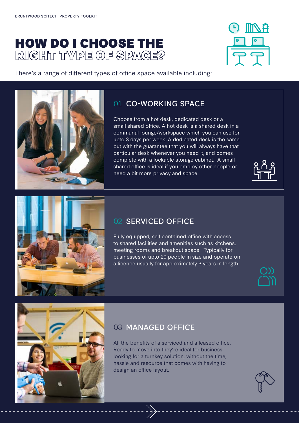# HOW DO I CHOOSE THE RIGHT TYPE OF SPACE?

![](_page_4_Picture_2.jpeg)

There's a range of different types of office space available including:

# 01 CO-WORKING SPACE

Choose from a hot desk, dedicated desk or a small shared office. A hot desk is a shared desk in a communal lounge/workspace which you can use for upto 3 days per week. A dedicated desk is the same but with the guarantee that you will always have that particular desk whenever you need it, and comes complete with a lockable storage cabinet. A small shared office is ideal if you employ other people or need a bit more privacy and space.

![](_page_4_Picture_6.jpeg)

![](_page_4_Picture_7.jpeg)

# 02 SERVICED OFFICE

Fully equipped, self contained office with access to shared facilities and amenities such as kitchens, meeting rooms and breakout space. Typically for businesses of upto 20 people in size and operate on a licence usually for approximately 3 years in length.

![](_page_4_Picture_10.jpeg)

![](_page_4_Picture_11.jpeg)

# 03 MANAGED OFFICE

All the benefits of a serviced and a leased office. Ready to move into they're ideal for business looking for a turnkey solution, without the time, hassle and resource that comes with having to design an office layout.

![](_page_4_Picture_14.jpeg)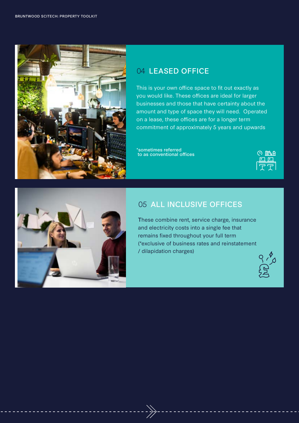![](_page_5_Picture_1.jpeg)

# 04 LEASED OFFICE

This is your own office space to fit out exactly as you would like. These offices are ideal for larger businesses and those that have certainty about the amount and type of space they will need. Operated on a lease, these offices are for a longer term commitment of approximately 5 years and upwards

\*sometimes referred to as conventional offices

![](_page_5_Figure_5.jpeg)

![](_page_5_Picture_6.jpeg)

## 05 ALL INCLUSIVE OFFICES

These combine rent, service charge, insurance and electricity costs into a single fee that remains fixed throughout your full term (\*exclusive of business rates and reinstatement / dilapidation charges)

![](_page_5_Picture_9.jpeg)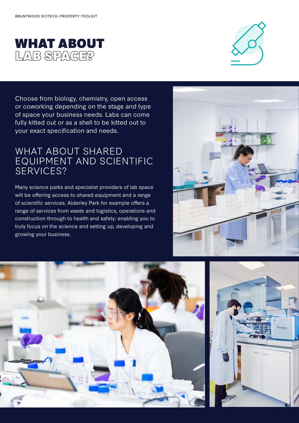![](_page_6_Picture_1.jpeg)

![](_page_6_Picture_2.jpeg)

Choose from biology, chemistry, open access or coworking depending on the stage and type of space your business needs. Labs can come fully kitted out or as a shell to be kitted out to your exact specification and needs.

# WHAT ABOUT SHARED EQUIPMENT AND SCIENTIFIC SERVICES?

Many science parks and specialist providers of lab space will be offering access to shared equipment and a range of scientific services. Alderley Park for example offers a range of services from waste and logistics, operations and construction through to health and safety; enabling you to truly focus on the science and setting up, developing and growing your business.

![](_page_6_Picture_6.jpeg)

![](_page_6_Picture_7.jpeg)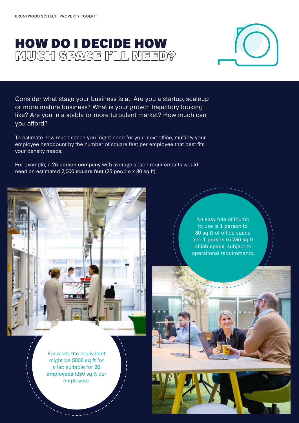# HOW DO I DECIDE HOW MUCH SPACE I'LL NEED?

![](_page_7_Picture_2.jpeg)

Consider what stage your business is at. Are you a startup, scaleup or more mature business? What is your growth trajectory looking like? Are you in a stable or more turbulent market? How much can you afford?

To estimate how much space you might need for your next office, multiply your employee headcount by the number of square feet per employee that best fits your density needs.

For example, a 25 person company with average space requirements would need an estimated 2,000 square feet (25 people x 80 sq ft).

![](_page_7_Picture_6.jpeg)

An easy rule of thumb to use is 1 person to 80 sq ft of office space and 1 person to 250 sq ft of lab space, subject to operational requirements.

For a lab, the equivalent might be 5000 sq ft for a lab suitable for 20 employees (250 sq ft per employee).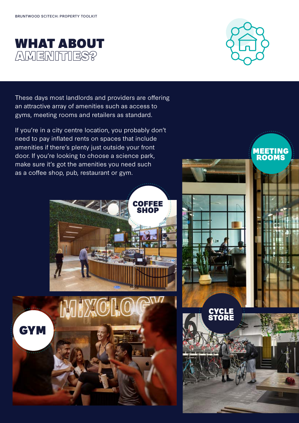![](_page_8_Picture_1.jpeg)

![](_page_8_Picture_2.jpeg)

These days most landlords and providers are offering an attractive array of amenities such as access to gyms, meeting rooms and retailers as standard.

If you're in a city centre location, you probably don't need to pay inflated rents on spaces that include amenities if there's plenty just outside your front door. If you're looking to choose a science park, make sure it's got the amenities you need such as a coffee shop, pub, restaurant or gym.

![](_page_8_Picture_5.jpeg)

![](_page_8_Picture_6.jpeg)

![](_page_8_Picture_7.jpeg)

**CYCLE STORE**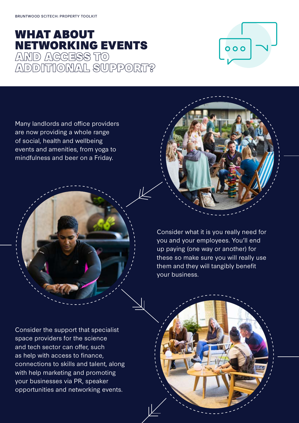# WHAT ABOUT NETWORKING EVENTS AND ACCESS TO ADDITIONAL SUPPORT?

![](_page_9_Picture_2.jpeg)

Many landlords and office providers are now providing a whole range of social, health and wellbeing events and amenities, from yoga to mindfulness and beer on a Friday.

> Consider what it is you really need for you and your employees. You'll end up paying (one way or another) for these so make sure you will really use them and they will tangibly benefit your business.

Consider the support that specialist space providers for the science and tech sector can offer, such as help with access to finance, connections to skills and talent, along with help marketing and promoting your businesses via PR, speaker opportunities and networking events.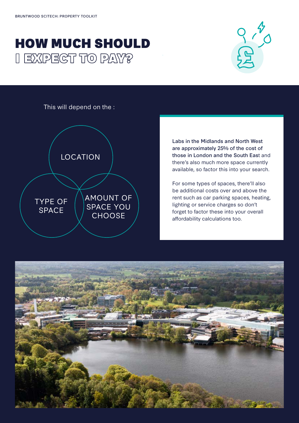# HOW MUCH SHOULD I EXPECT TO PAY?

![](_page_10_Picture_2.jpeg)

This will depend on the :

![](_page_10_Figure_4.jpeg)

Labs in the Midlands and North West are approximately 25% of the cost of those in London and the South East and there's also much more space currently available, so factor this into your search.

For some types of spaces, there'll also be additional costs over and above the rent such as car parking spaces, heating, lighting or service charges so don't forget to factor these into your overall affordability calculations too.

![](_page_10_Picture_7.jpeg)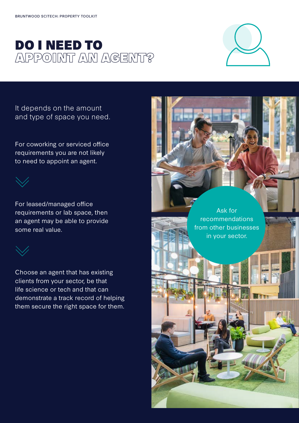![](_page_11_Picture_1.jpeg)

![](_page_11_Picture_2.jpeg)

It depends on the amount and type of space you need.

For coworking or serviced office requirements you are not likely to need to appoint an agent.

![](_page_11_Picture_5.jpeg)

For leased/managed office requirements or lab space, then an agent may be able to provide some real value.

![](_page_11_Picture_7.jpeg)

Choose an agent that has existing clients from your sector, be that life science or tech and that can demonstrate a track record of helping them secure the right space for them.

![](_page_11_Picture_9.jpeg)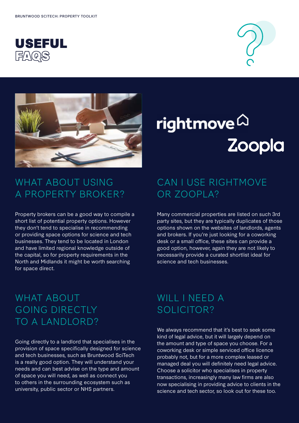![](_page_12_Picture_1.jpeg)

![](_page_12_Picture_2.jpeg)

![](_page_12_Picture_3.jpeg)

# rightmove<sup>(2)</sup><br>Zoopla

# WHAT ABOUT USING A PROPERTY BROKER?

Property brokers can be a good way to compile a short list of potential property options. However they don't tend to specialise in recommending or providing space options for science and tech businesses. They tend to be located in London and have limited regional knowledge outside of the capital, so for property requirements in the North and Midlands it might be worth searching for space direct.

# CAN I USE RIGHTMOVE OR 700PLA?

Many commercial properties are listed on such 3rd party sites, but they are typically duplicates of those options shown on the websites of landlords, agents and brokers. If you're just looking for a coworking desk or a small office, these sites can provide a good option, however, again they are not likely to necessarily provide a curated shortlist ideal for science and tech businesses.

# WHAT ABOUT GOING DIRECTLY TO A LANDLORD?

Going directly to a landlord that specialises in the provision of space specifically designed for science and tech businesses, such as Bruntwood SciTech is a really good option. They will understand your needs and can best advise on the type and amount of space you will need, as well as connect you to others in the surrounding ecosystem such as university, public sector or NHS partners.

# WILL I NEED A SOLICITOR?

We always recommend that it's best to seek some kind of legal advice, but it will largely depend on the amount and type of space you choose. For a coworking desk or simple serviced office licence probably not, but for a more complex leased or managed deal you will definitely need legal advice. Choose a solicitor who specialises in property transactions, increasingly many law firms are also now specialising in providing advice to clients in the science and tech sector, so look out for these too.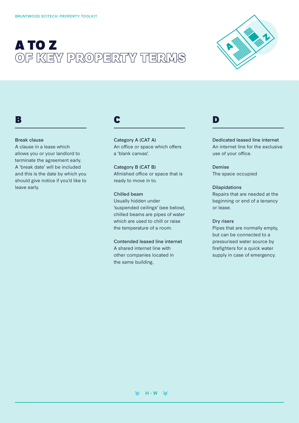# A TO Z OF KEY PROPERTY TERMS

![](_page_13_Picture_2.jpeg)

#### B

#### Break clause

A clause in a lease which allows you or your landlord to terminate the agreement early. A 'break date' will be included and this is the date by which you should give notice if you'd like to leave early.

# C

#### Category A (CAT A)

An office or space which offers a 'blank canvas'.

Category B (CAT B) Afinished office or space that is ready to move in to.

#### Chilled beam

Usually hidden under 'suspended ceilings' (see below), chilled beams are pipes of water which are used to chill or raise the temperature of a room.

#### Contended leased line internet

A shared internet line with other companies located in the same building.

# D

Dedicated leased line internet An internet line for the exclusive use of your office.

Demise The space occupied

#### Dilapidations

Repairs that are needed at the beginning or end of a tenancy or lease.

#### Dry risers

Pipes that are normally empty, but can be connected to a pressurised water source by firefighters for a quick water supply in case of emergency.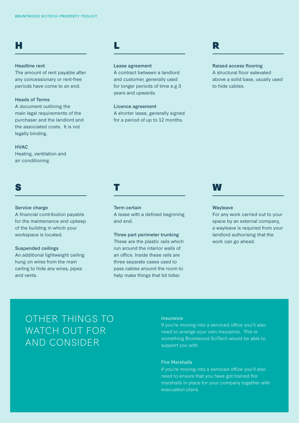## H

#### Headline rent

The amount of rent payable after any concessionary or rent-free periods have come to an end.

#### Heads of Terms

A document outlining the main legal requirements of the purchaser and the landlord and the associated costs. It is not legally binding.

#### **HVAC**

Heating, ventilation and air conditioning

#### S

#### Service charge

A financial contribution payable for the maintenance and upkeep of the building in which your workspace is located.

#### Suspended ceilings

An additional lightweight ceiling hung on wires from the main ceiling to hide any wires, pipes and vents.

# L

#### Lease agreement

A contract between a landlord and customer, generally used for longer periods of time e.g 3 years and upwards.

#### Licence agreement

A shorter lease, generally signed for a period of up to 12 months.

#### R

#### Raised access flooring

A structural floor ealevated above a solid base, usually used to hide cables.

# T

#### Term certain

A lease with a defined beginning and end.

#### Three part perimeter trunking

These are the plastic rails which run around the interior walls of an office. Inside these rails are three separate cases used to pass cables around the room to help make things that bit tidier.

#### W

#### Wayleave

For any work carried out to your space by an external company, a wayleave is required from your landlord authorising that the work can go ahead.

# OTHER THINGS TO WATCH OUT FOR AND CONSIDER

#### **Insurance**

If you're moving into a serviced office you'll also need to arrange your own insurance. This is something Bruntwood SciTech would be able to support you with.

#### Fire Marshalls

If you're moving into a serviced office you'll also need to ensure that you have got trained fire marshalls in place for your company together with evacuation plans.